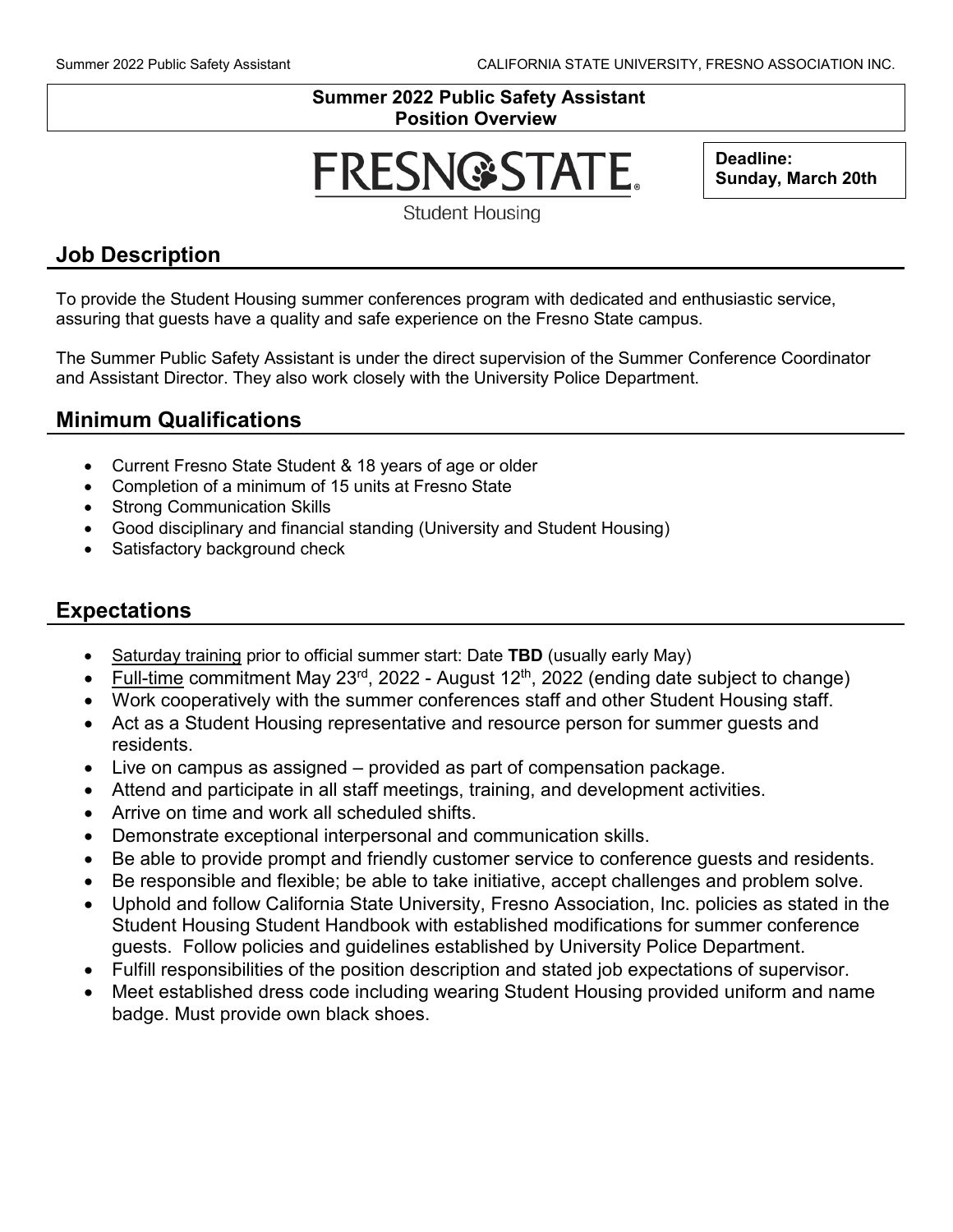#### **Summer 2022 Public Safety Assistant Position Overview**

# **FRESN@STATE.**

**Deadline: Sunday, March 20th**

**Student Housing** 

## **Job Description**

To provide the Student Housing summer conferences program with dedicated and enthusiastic service, assuring that guests have a quality and safe experience on the Fresno State campus.

The Summer Public Safety Assistant is under the direct supervision of the Summer Conference Coordinator and Assistant Director. They also work closely with the University Police Department.

## **Minimum Qualifications**

- Current Fresno State Student & 18 years of age or older
- Completion of a minimum of 15 units at Fresno State
- Strong Communication Skills
- Good disciplinary and financial standing (University and Student Housing)
- Satisfactory background check

## **Expectations**

- Saturday training prior to official summer start: Date **TBD** (usually early May)
- Full-time commitment May 23 $^{rd}$ , 2022 August 12<sup>th</sup>, 2022 (ending date subject to change)
- Work cooperatively with the summer conferences staff and other Student Housing staff.
- Act as a Student Housing representative and resource person for summer guests and residents.
- Live on campus as assigned provided as part of compensation package.
- Attend and participate in all staff meetings, training, and development activities.
- Arrive on time and work all scheduled shifts.
- Demonstrate exceptional interpersonal and communication skills.
- Be able to provide prompt and friendly customer service to conference guests and residents.
- Be responsible and flexible; be able to take initiative, accept challenges and problem solve.
- Uphold and follow California State University, Fresno Association, Inc. policies as stated in the Student Housing Student Handbook with established modifications for summer conference guests. Follow policies and guidelines established by University Police Department.
- Fulfill responsibilities of the position description and stated job expectations of supervisor.
- Meet established dress code including wearing Student Housing provided uniform and name badge. Must provide own black shoes.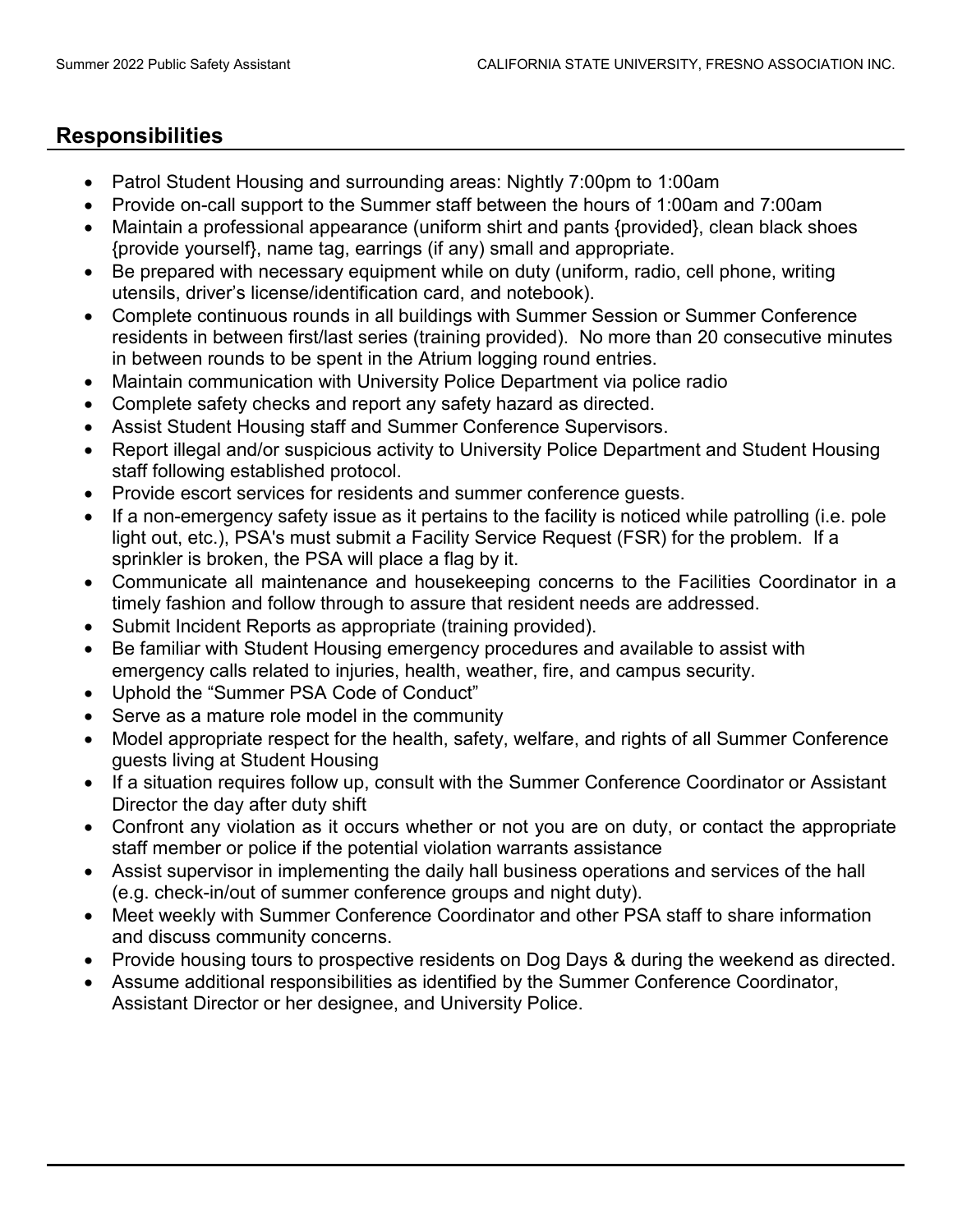## **Responsibilities**

- Patrol Student Housing and surrounding areas: Nightly 7:00pm to 1:00am
- Provide on-call support to the Summer staff between the hours of 1:00am and 7:00am
- Maintain a professional appearance (uniform shirt and pants {provided}, clean black shoes {provide yourself}, name tag, earrings (if any) small and appropriate.
- Be prepared with necessary equipment while on duty (uniform, radio, cell phone, writing utensils, driver's license/identification card, and notebook).
- Complete continuous rounds in all buildings with Summer Session or Summer Conference residents in between first/last series (training provided). No more than 20 consecutive minutes in between rounds to be spent in the Atrium logging round entries.
- Maintain communication with University Police Department via police radio
- Complete safety checks and report any safety hazard as directed.
- Assist Student Housing staff and Summer Conference Supervisors.
- Report illegal and/or suspicious activity to University Police Department and Student Housing staff following established protocol.
- Provide escort services for residents and summer conference guests.
- If a non-emergency safety issue as it pertains to the facility is noticed while patrolling (i.e. pole light out, etc.), PSA's must submit a Facility Service Request (FSR) for the problem. If a sprinkler is broken, the PSA will place a flag by it.
- Communicate all maintenance and housekeeping concerns to the Facilities Coordinator in a timely fashion and follow through to assure that resident needs are addressed.
- Submit Incident Reports as appropriate (training provided).
- Be familiar with Student Housing emergency procedures and available to assist with emergency calls related to injuries, health, weather, fire, and campus security.
- Uphold the "Summer PSA Code of Conduct"
- Serve as a mature role model in the community
- Model appropriate respect for the health, safety, welfare, and rights of all Summer Conference guests living at Student Housing
- If a situation requires follow up, consult with the Summer Conference Coordinator or Assistant Director the day after duty shift
- Confront any violation as it occurs whether or not you are on duty, or contact the appropriate staff member or police if the potential violation warrants assistance
- Assist supervisor in implementing the daily hall business operations and services of the hall (e.g. check-in/out of summer conference groups and night duty).
- Meet weekly with Summer Conference Coordinator and other PSA staff to share information and discuss community concerns.
- Provide housing tours to prospective residents on Dog Days & during the weekend as directed.
- Assume additional responsibilities as identified by the Summer Conference Coordinator, Assistant Director or her designee, and University Police.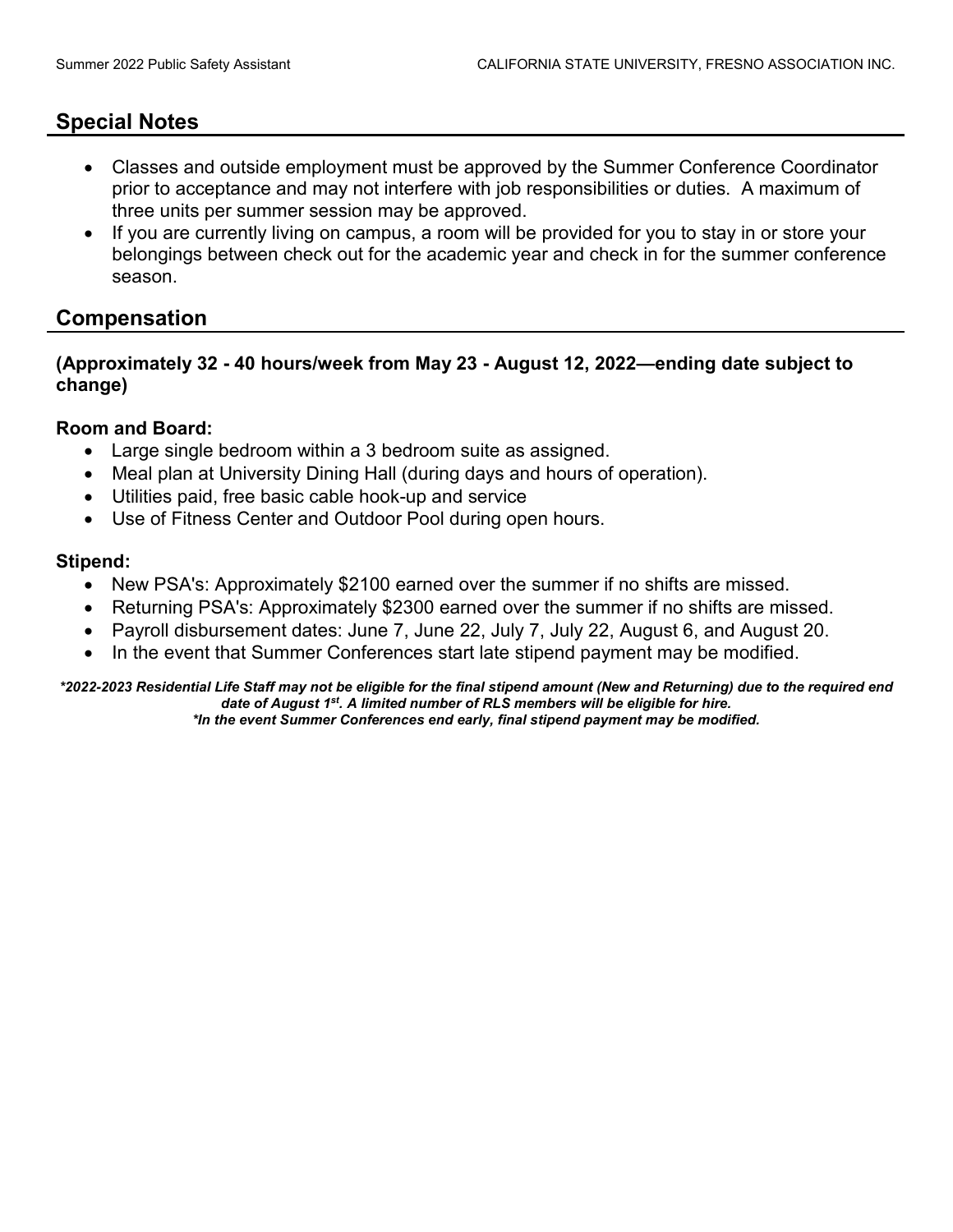## **Special Notes**

- Classes and outside employment must be approved by the Summer Conference Coordinator prior to acceptance and may not interfere with job responsibilities or duties. A maximum of three units per summer session may be approved.
- If you are currently living on campus, a room will be provided for you to stay in or store your belongings between check out for the academic year and check in for the summer conference season.

### **Compensation**

#### **(Approximately 32 - 40 hours/week from May 23 - August 12, 2022—ending date subject to change)**

#### **Room and Board:**

- Large single bedroom within a 3 bedroom suite as assigned.
- Meal plan at University Dining Hall (during days and hours of operation).
- Utilities paid, free basic cable hook-up and service
- Use of Fitness Center and Outdoor Pool during open hours.

#### **Stipend:**

- New PSA's: Approximately \$2100 earned over the summer if no shifts are missed.
- Returning PSA's: Approximately \$2300 earned over the summer if no shifts are missed.
- Payroll disbursement dates: June 7, June 22, July 7, July 22, August 6, and August 20.
- In the event that Summer Conferences start late stipend payment may be modified.

*\*2022-2023 Residential Life Staff may not be eligible for the final stipend amount (New and Returning) due to the required end date of August 1st. A limited number of RLS members will be eligible for hire. \*In the event Summer Conferences end early, final stipend payment may be modified.*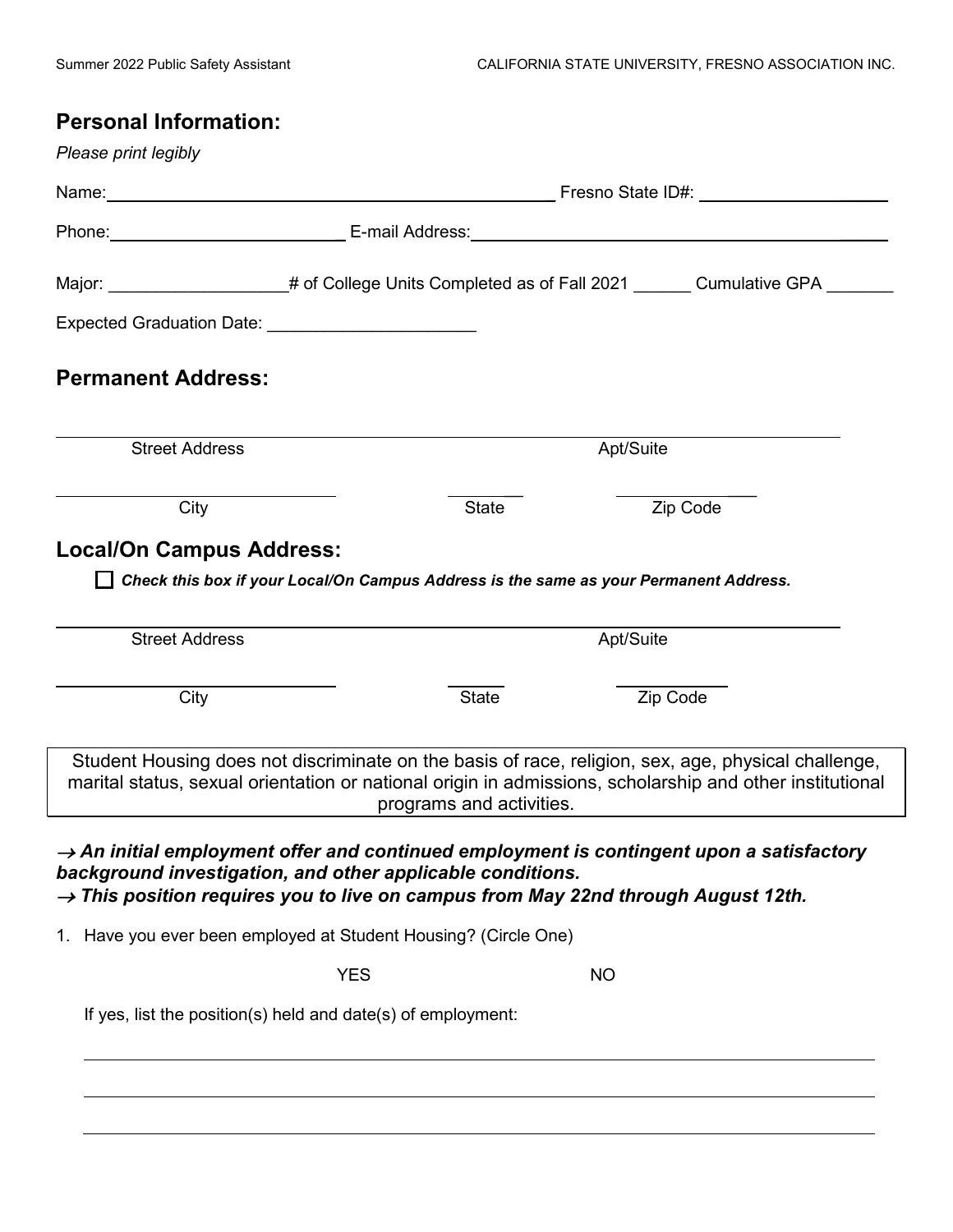# **Personal Information:**

|                                                                                                                                 | Phone: <u>New York: E-mail Address:</u> New York: New York: New York: New York: New York: New York: New York: New York: New York: New York: New York: New York: New York: New York: New York: New York: New York: New York: New Yor |                          |                                                                                                                                                                                                                 |  |  |
|---------------------------------------------------------------------------------------------------------------------------------|-------------------------------------------------------------------------------------------------------------------------------------------------------------------------------------------------------------------------------------|--------------------------|-----------------------------------------------------------------------------------------------------------------------------------------------------------------------------------------------------------------|--|--|
|                                                                                                                                 |                                                                                                                                                                                                                                     |                          | Major: _____________________# of College Units Completed as of Fall 2021 _______ Cumulative GPA _______                                                                                                         |  |  |
|                                                                                                                                 |                                                                                                                                                                                                                                     |                          |                                                                                                                                                                                                                 |  |  |
| <b>Permanent Address:</b>                                                                                                       |                                                                                                                                                                                                                                     |                          |                                                                                                                                                                                                                 |  |  |
| <b>Street Address</b>                                                                                                           |                                                                                                                                                                                                                                     |                          | Apt/Suite                                                                                                                                                                                                       |  |  |
| City                                                                                                                            |                                                                                                                                                                                                                                     | <b>State</b>             | Zip Code                                                                                                                                                                                                        |  |  |
| <b>Local/On Campus Address:</b>                                                                                                 |                                                                                                                                                                                                                                     |                          |                                                                                                                                                                                                                 |  |  |
|                                                                                                                                 |                                                                                                                                                                                                                                     |                          | Check this box if your Local/On Campus Address is the same as your Permanent Address.                                                                                                                           |  |  |
| <b>Street Address</b>                                                                                                           |                                                                                                                                                                                                                                     |                          | Apt/Suite                                                                                                                                                                                                       |  |  |
| City                                                                                                                            |                                                                                                                                                                                                                                     | <b>State</b>             | Zip Code                                                                                                                                                                                                        |  |  |
|                                                                                                                                 |                                                                                                                                                                                                                                     | programs and activities. | Student Housing does not discriminate on the basis of race, religion, sex, age, physical challenge,<br>marital status, sexual orientation or national origin in admissions, scholarship and other institutional |  |  |
| background investigation, and other applicable conditions.                                                                      |                                                                                                                                                                                                                                     |                          | $\rightarrow$ An initial employment offer and continued employment is contingent upon a satisfactory<br>$\rightarrow$ This position requires you to live on campus from May 22nd through August 12th.           |  |  |
|                                                                                                                                 |                                                                                                                                                                                                                                     |                          |                                                                                                                                                                                                                 |  |  |
|                                                                                                                                 |                                                                                                                                                                                                                                     |                          |                                                                                                                                                                                                                 |  |  |
|                                                                                                                                 | <b>YES</b>                                                                                                                                                                                                                          |                          | <b>NO</b>                                                                                                                                                                                                       |  |  |
| 1. Have you ever been employed at Student Housing? (Circle One)<br>If yes, list the position(s) held and date(s) of employment: |                                                                                                                                                                                                                                     |                          |                                                                                                                                                                                                                 |  |  |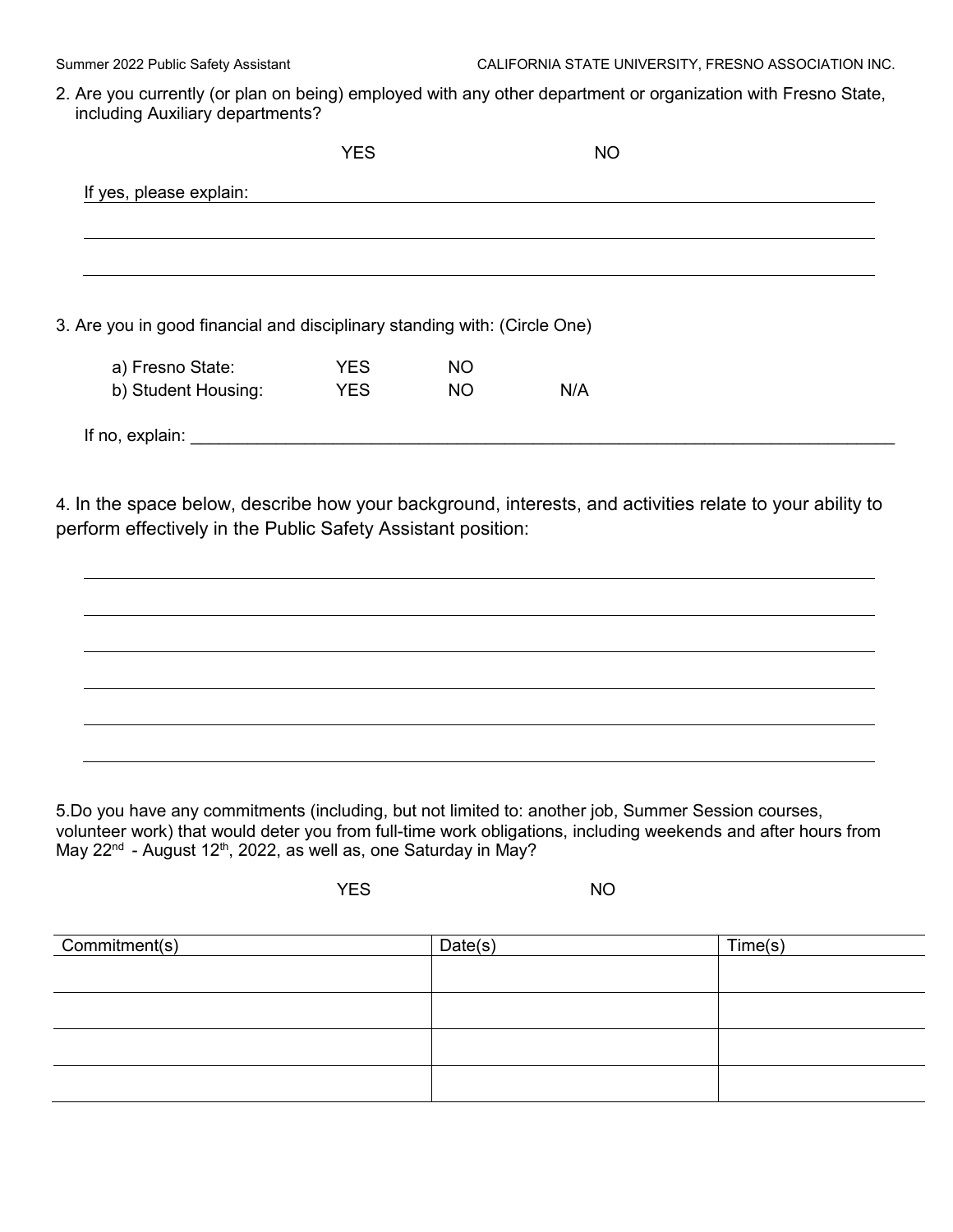2. Are you currently (or plan on being) employed with any other department or organization with Fresno State, including Auxiliary departments?

| If yes, please explain:                                                   |            |           |     |  |
|---------------------------------------------------------------------------|------------|-----------|-----|--|
|                                                                           |            |           |     |  |
|                                                                           |            |           |     |  |
|                                                                           |            |           |     |  |
|                                                                           |            |           |     |  |
|                                                                           |            |           |     |  |
| 3. Are you in good financial and disciplinary standing with: (Circle One) |            |           |     |  |
|                                                                           | <b>YES</b> | <b>NO</b> |     |  |
| a) Fresno State:<br>b) Student Housing:                                   | <b>YES</b> | <b>NO</b> | N/A |  |
| If no, explain:                                                           |            |           |     |  |

4. In the space below, describe how your background, interests, and activities relate to your ability to perform effectively in the Public Safety Assistant position:



5.Do you have any commitments (including, but not limited to: another job, Summer Session courses, volunteer work) that would deter you from full-time work obligations, including weekends and after hours from May 22<sup>nd</sup> - August 12<sup>th</sup>, 2022, as well as, one Saturday in May?

YES NO

| Commitment(s) | Date(s) | Time(s) |
|---------------|---------|---------|
|               |         |         |
|               |         |         |
|               |         |         |
|               |         |         |
|               |         |         |
|               |         |         |
|               |         |         |
|               |         |         |